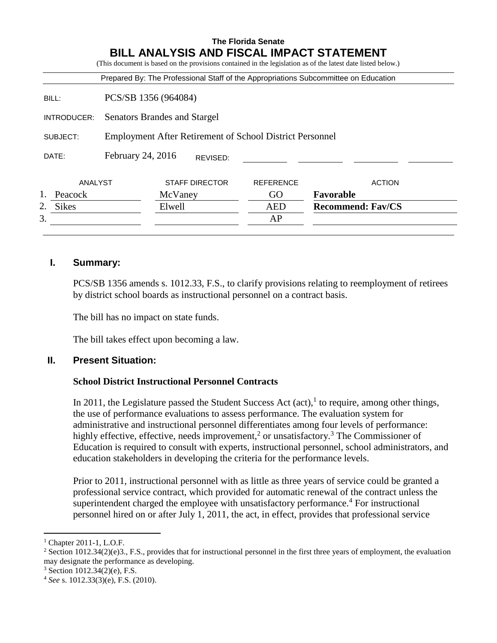|                    |                                                                 |                       |  | <b>The Florida Senate</b> | <b>BILL ANALYSIS AND FISCAL IMPACT STATEMENT</b><br>(This document is based on the provisions contained in the legislation as of the latest date listed below.) |
|--------------------|-----------------------------------------------------------------|-----------------------|--|---------------------------|-----------------------------------------------------------------------------------------------------------------------------------------------------------------|
|                    |                                                                 |                       |  |                           | Prepared By: The Professional Staff of the Appropriations Subcommittee on Education                                                                             |
| BILL:              | PCS/SB 1356 (964084)                                            |                       |  |                           |                                                                                                                                                                 |
| INTRODUCER:        | Senators Brandes and Stargel                                    |                       |  |                           |                                                                                                                                                                 |
| SUBJECT:           | <b>Employment After Retirement of School District Personnel</b> |                       |  |                           |                                                                                                                                                                 |
| DATE:              | February 24, 2016<br>REVISED:                                   |                       |  |                           |                                                                                                                                                                 |
| ANALYST            |                                                                 | <b>STAFF DIRECTOR</b> |  | <b>REFERENCE</b>          | <b>ACTION</b>                                                                                                                                                   |
| Peacock            |                                                                 | McVaney               |  | GO                        | Favorable                                                                                                                                                       |
| 2.<br><b>Sikes</b> |                                                                 | Elwell                |  | AED                       | <b>Recommend: Fav/CS</b>                                                                                                                                        |
| 3.                 |                                                                 |                       |  | AP                        |                                                                                                                                                                 |

## **I. Summary:**

PCS/SB 1356 amends s. 1012.33, F.S., to clarify provisions relating to reemployment of retirees by district school boards as instructional personnel on a contract basis.

The bill has no impact on state funds.

The bill takes effect upon becoming a law.

#### **II. Present Situation:**

#### **School District Instructional Personnel Contracts**

In 2011, the Legislature passed the Student Success Act  $(\text{act})$ , to require, among other things, the use of performance evaluations to assess performance. The evaluation system for administrative and instructional personnel differentiates among four levels of performance: highly effective, effective, needs improvement,<sup>2</sup> or unsatisfactory.<sup>3</sup> The Commissioner of Education is required to consult with experts, instructional personnel, school administrators, and education stakeholders in developing the criteria for the performance levels.

Prior to 2011, instructional personnel with as little as three years of service could be granted a professional service contract, which provided for automatic renewal of the contract unless the superintendent charged the employee with unsatisfactory performance.<sup>4</sup> For instructional personnel hired on or after July 1, 2011, the act, in effect, provides that professional service

 $\overline{a}$ 

<sup>1</sup> Chapter 2011-1, L.O.F.

<sup>&</sup>lt;sup>2</sup> Section 1012.34(2)(e)3., F.S., provides that for instructional personnel in the first three years of employment, the evaluation may designate the performance as developing.

<sup>3</sup> Section 1012.34(2)(e), F.S.

<sup>4</sup> *See* s. 1012.33(3)(e), F.S. (2010).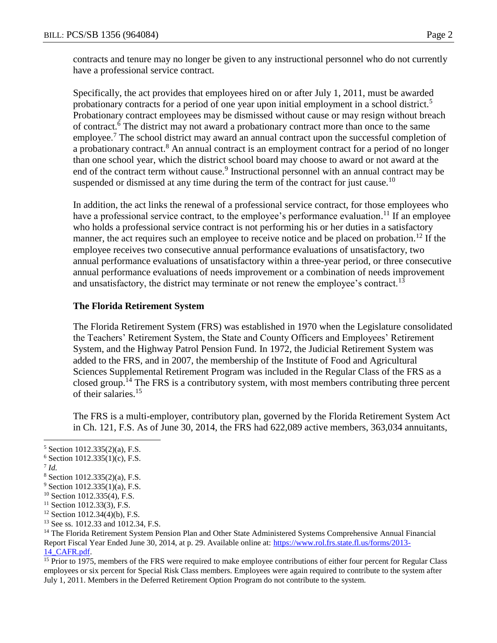contracts and tenure may no longer be given to any instructional personnel who do not currently have a professional service contract.

Specifically, the act provides that employees hired on or after July 1, 2011, must be awarded probationary contracts for a period of one year upon initial employment in a school district.<sup>5</sup> Probationary contract employees may be dismissed without cause or may resign without breach of contract.<sup>6</sup> The district may not award a probationary contract more than once to the same employee.<sup>7</sup> The school district may award an annual contract upon the successful completion of a probationary contract.<sup>8</sup> An annual contract is an employment contract for a period of no longer than one school year, which the district school board may choose to award or not award at the end of the contract term without cause.<sup>9</sup> Instructional personnel with an annual contract may be suspended or dismissed at any time during the term of the contract for just cause.<sup>10</sup>

In addition, the act links the renewal of a professional service contract, for those employees who have a professional service contract, to the employee's performance evaluation.<sup>11</sup> If an employee who holds a professional service contract is not performing his or her duties in a satisfactory manner, the act requires such an employee to receive notice and be placed on probation.<sup>12</sup> If the employee receives two consecutive annual performance evaluations of unsatisfactory, two annual performance evaluations of unsatisfactory within a three-year period, or three consecutive annual performance evaluations of needs improvement or a combination of needs improvement and unsatisfactory, the district may terminate or not renew the employee's contract.<sup>13</sup>

#### **The Florida Retirement System**

The Florida Retirement System (FRS) was established in 1970 when the Legislature consolidated the Teachers' Retirement System, the State and County Officers and Employees' Retirement System, and the Highway Patrol Pension Fund. In 1972, the Judicial Retirement System was added to the FRS, and in 2007, the membership of the Institute of Food and Agricultural Sciences Supplemental Retirement Program was included in the Regular Class of the FRS as a closed group.<sup>14</sup> The FRS is a contributory system, with most members contributing three percent of their salaries.<sup>15</sup>

The FRS is a multi-employer, contributory plan, governed by the Florida Retirement System Act in Ch. 121, F.S. As of June 30, 2014, the FRS had 622,089 active members, 363,034 annuitants,

7 *Id.*

 $\overline{a}$ 

- $9$  Section 1012.335(1)(a), F.S.
- <sup>10</sup> Section 1012.335(4), F.S.
- <sup>11</sup> Section 1012.33(3), F.S.
- $12$  Section 1012.34(4)(b), F.S.
- <sup>13</sup> See ss. 1012.33 and 1012.34, F.S.

<sup>14</sup> The Florida Retirement System Pension Plan and Other State Administered Systems Comprehensive Annual Financial Report Fiscal Year Ended June 30, 2014, at p. 29. Available online at: [https://www.rol.frs.state.fl.us/forms/2013-](https://www.rol.frs.state.fl.us/forms/2013-14_CAFR.pdf) 14 CAFR.pdf.

<sup>15</sup> Prior to 1975, members of the FRS were required to make employee contributions of either four percent for Regular Class employees or six percent for Special Risk Class members. Employees were again required to contribute to the system after July 1, 2011. Members in the Deferred Retirement Option Program do not contribute to the system.

<sup>5</sup> Section 1012.335(2)(a), F.S.

 $6$  Section 1012.335(1)(c), F.S.

<sup>8</sup> Section 1012.335(2)(a), F.S.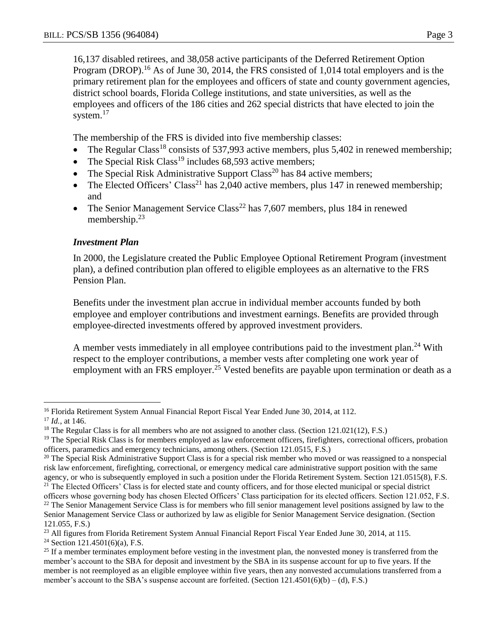16,137 disabled retirees, and 38,058 active participants of the Deferred Retirement Option Program (DROP).<sup>16</sup> As of June 30, 2014, the FRS consisted of 1,014 total employers and is the primary retirement plan for the employees and officers of state and county government agencies, district school boards, Florida College institutions, and state universities, as well as the employees and officers of the 186 cities and 262 special districts that have elected to join the system.<sup>17</sup>

The membership of the FRS is divided into five membership classes:

- The Regular Class<sup>18</sup> consists of 537,993 active members, plus 5,402 in renewed membership;
- The Special Risk Class<sup>19</sup> includes 68,593 active members;
- The Special Risk Administrative Support Class<sup>20</sup> has 84 active members;
- The Elected Officers' Class<sup>21</sup> has 2,040 active members, plus 147 in renewed membership; and
- The Senior Management Service Class<sup>22</sup> has  $7,607$  members, plus 184 in renewed membership.<sup>23</sup>

## *Investment Plan*

In 2000, the Legislature created the Public Employee Optional Retirement Program (investment plan), a defined contribution plan offered to eligible employees as an alternative to the FRS Pension Plan.

Benefits under the investment plan accrue in individual member accounts funded by both employee and employer contributions and investment earnings. Benefits are provided through employee-directed investments offered by approved investment providers.

A member vests immediately in all employee contributions paid to the investment plan.<sup>24</sup> With respect to the employer contributions, a member vests after completing one work year of employment with an FRS employer.<sup>25</sup> Vested benefits are payable upon termination or death as a

<sup>24</sup> Section 121.4501(6)(a), F.S.

 $\overline{a}$ <sup>16</sup> Florida Retirement System Annual Financial Report Fiscal Year Ended June 30, 2014, at 112.

<sup>17</sup> *Id.*, at 146.

<sup>&</sup>lt;sup>18</sup> The Regular Class is for all members who are not assigned to another class. (Section 121.021(12), F.S.)

<sup>&</sup>lt;sup>19</sup> The Special Risk Class is for members employed as law enforcement officers, firefighters, correctional officers, probation officers, paramedics and emergency technicians, among others. (Section 121.0515, F.S.)

 $20$  The Special Risk Administrative Support Class is for a special risk member who moved or was reassigned to a nonspecial risk law enforcement, firefighting, correctional, or emergency medical care administrative support position with the same agency, or who is subsequently employed in such a position under the Florida Retirement System. Section 121.0515(8), F.S.

<sup>&</sup>lt;sup>21</sup> The Elected Officers' Class is for elected state and county officers, and for those elected municipal or special district officers whose governing body has chosen Elected Officers' Class participation for its elected officers. Section 121.052, F.S. <sup>22</sup> The Senior Management Service Class is for members who fill senior management level positions assigned by law to the Senior Management Service Class or authorized by law as eligible for Senior Management Service designation. (Section 121.055, F.S.)

<sup>&</sup>lt;sup>23</sup> All figures from Florida Retirement System Annual Financial Report Fiscal Year Ended June 30, 2014, at 115.

 $25$  If a member terminates employment before vesting in the investment plan, the nonvested money is transferred from the member's account to the SBA for deposit and investment by the SBA in its suspense account for up to five years. If the member is not reemployed as an eligible employee within five years, then any nonvested accumulations transferred from a member's account to the SBA's suspense account are forfeited. (Section  $121.4501(6)(b) - (d)$ , F.S.)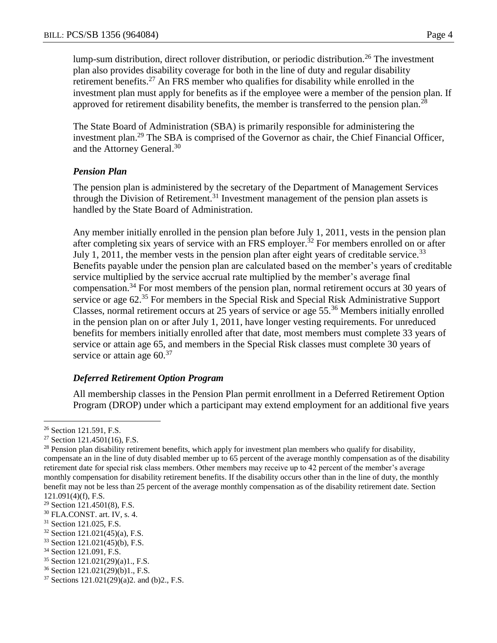lump-sum distribution, direct rollover distribution, or periodic distribution.<sup>26</sup> The investment plan also provides disability coverage for both in the line of duty and regular disability retirement benefits.<sup>27</sup> An FRS member who qualifies for disability while enrolled in the investment plan must apply for benefits as if the employee were a member of the pension plan. If approved for retirement disability benefits, the member is transferred to the pension plan.<sup>28</sup>

The State Board of Administration (SBA) is primarily responsible for administering the investment plan.<sup>29</sup> The SBA is comprised of the Governor as chair, the Chief Financial Officer, and the Attorney General.<sup>30</sup>

## *Pension Plan*

The pension plan is administered by the secretary of the Department of Management Services through the Division of Retirement.<sup>31</sup> Investment management of the pension plan assets is handled by the State Board of Administration.

Any member initially enrolled in the pension plan before July 1, 2011, vests in the pension plan after completing six years of service with an FRS employer.<sup>32</sup> For members enrolled on or after July 1, 2011, the member vests in the pension plan after eight years of creditable service.<sup>33</sup> Benefits payable under the pension plan are calculated based on the member's years of creditable service multiplied by the service accrual rate multiplied by the member's average final compensation.<sup>34</sup> For most members of the pension plan, normal retirement occurs at 30 years of service or age 62.<sup>35</sup> For members in the Special Risk and Special Risk Administrative Support Classes, normal retirement occurs at 25 years of service or age 55.<sup>36</sup> Members initially enrolled in the pension plan on or after July 1, 2011, have longer vesting requirements. For unreduced benefits for members initially enrolled after that date, most members must complete 33 years of service or attain age 65, and members in the Special Risk classes must complete 30 years of service or attain age  $60.^{37}$ 

# *Deferred Retirement Option Program*

All membership classes in the Pension Plan permit enrollment in a Deferred Retirement Option Program (DROP) under which a participant may extend employment for an additional five years

 $\overline{a}$ <sup>26</sup> Section 121.591, F.S.

 $27$  Section 121.4501(16), F.S.

<sup>&</sup>lt;sup>28</sup> Pension plan disability retirement benefits, which apply for investment plan members who qualify for disability, compensate an in the line of duty disabled member up to 65 percent of the average monthly compensation as of the disability retirement date for special risk class members. Other members may receive up to 42 percent of the member's average monthly compensation for disability retirement benefits. If the disability occurs other than in the line of duty, the monthly benefit may not be less than 25 percent of the average monthly compensation as of the disability retirement date. Section 121.091(4)(f), F.S.

<sup>29</sup> Section 121.4501(8), F.S.

<sup>30</sup> FLA.CONST. art. IV, s. 4.

<sup>&</sup>lt;sup>31</sup> Section 121.025, F.S.

<sup>32</sup> Section 121.021(45)(a), F.S.

<sup>33</sup> Section 121.021(45)(b), F.S.

<sup>&</sup>lt;sup>34</sup> Section 121.091, F.S.

<sup>35</sup> Section 121.021(29)(a)1., F.S.

<sup>36</sup> Section 121.021(29)(b)1., F.S.

 $37$  Sections 121.021(29)(a)2. and (b)2., F.S.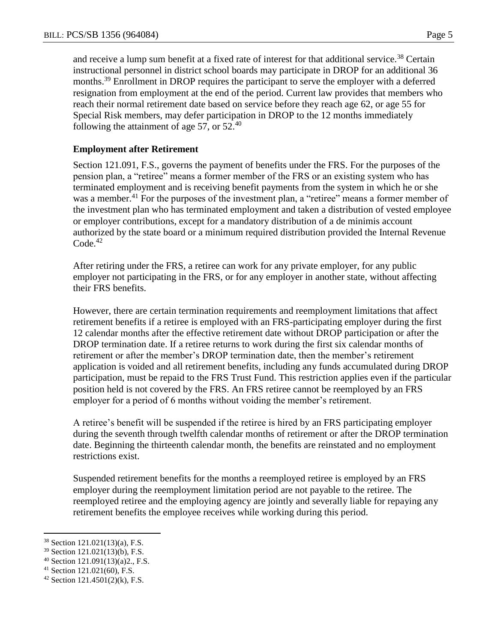and receive a lump sum benefit at a fixed rate of interest for that additional service.<sup>38</sup> Certain instructional personnel in district school boards may participate in DROP for an additional 36 months.<sup>39</sup> Enrollment in DROP requires the participant to serve the employer with a deferred resignation from employment at the end of the period. Current law provides that members who reach their normal retirement date based on service before they reach age 62, or age 55 for Special Risk members, may defer participation in DROP to the 12 months immediately following the attainment of age 57, or  $52<sup>40</sup>$ 

## **Employment after Retirement**

Section 121.091, F.S., governs the payment of benefits under the FRS. For the purposes of the pension plan, a "retiree" means a former member of the FRS or an existing system who has terminated employment and is receiving benefit payments from the system in which he or she was a member.<sup>41</sup> For the purposes of the investment plan, a "retiree" means a former member of the investment plan who has terminated employment and taken a distribution of vested employee or employer contributions, except for a mandatory distribution of a de minimis account authorized by the state board or a minimum required distribution provided the Internal Revenue  $Code<sup>42</sup>$ 

After retiring under the FRS, a retiree can work for any private employer, for any public employer not participating in the FRS, or for any employer in another state, without affecting their FRS benefits.

However, there are certain termination requirements and reemployment limitations that affect retirement benefits if a retiree is employed with an FRS-participating employer during the first 12 calendar months after the effective retirement date without DROP participation or after the DROP termination date. If a retiree returns to work during the first six calendar months of retirement or after the member's DROP termination date, then the member's retirement application is voided and all retirement benefits, including any funds accumulated during DROP participation, must be repaid to the FRS Trust Fund. This restriction applies even if the particular position held is not covered by the FRS. An FRS retiree cannot be reemployed by an FRS employer for a period of 6 months without voiding the member's retirement.

A retiree's benefit will be suspended if the retiree is hired by an FRS participating employer during the seventh through twelfth calendar months of retirement or after the DROP termination date. Beginning the thirteenth calendar month, the benefits are reinstated and no employment restrictions exist.

Suspended retirement benefits for the months a reemployed retiree is employed by an FRS employer during the reemployment limitation period are not payable to the retiree. The reemployed retiree and the employing agency are jointly and severally liable for repaying any retirement benefits the employee receives while working during this period.

 $\overline{a}$ 

<sup>38</sup> Section 121.021(13)(a), F.S.

<sup>39</sup> Section 121.021(13)(b), F.S.

<sup>40</sup> Section 121.091(13)(a)2., F.S.

<sup>41</sup> Section 121.021(60), F.S.

 $42$  Section 121.4501(2)(k), F.S.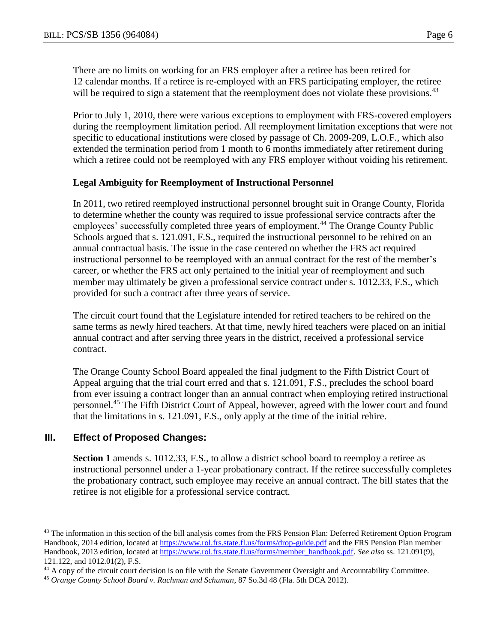There are no limits on working for an FRS employer after a retiree has been retired for 12 calendar months. If a retiree is re-employed with an FRS participating employer, the retiree will be required to sign a statement that the reemployment does not violate these provisions.<sup>43</sup>

Prior to July 1, 2010, there were various exceptions to employment with FRS-covered employers during the reemployment limitation period. All reemployment limitation exceptions that were not specific to educational institutions were closed by passage of Ch. 2009-209, L.O.F., which also extended the termination period from 1 month to 6 months immediately after retirement during which a retiree could not be reemployed with any FRS employer without voiding his retirement.

#### **Legal Ambiguity for Reemployment of Instructional Personnel**

In 2011, two retired reemployed instructional personnel brought suit in Orange County, Florida to determine whether the county was required to issue professional service contracts after the employees' successfully completed three years of employment.<sup>44</sup> The Orange County Public Schools argued that s. 121.091, F.S., required the instructional personnel to be rehired on an annual contractual basis. The issue in the case centered on whether the FRS act required instructional personnel to be reemployed with an annual contract for the rest of the member's career, or whether the FRS act only pertained to the initial year of reemployment and such member may ultimately be given a professional service contract under s. 1012.33, F.S., which provided for such a contract after three years of service.

The circuit court found that the Legislature intended for retired teachers to be rehired on the same terms as newly hired teachers. At that time, newly hired teachers were placed on an initial annual contract and after serving three years in the district, received a professional service contract.

The Orange County School Board appealed the final judgment to the Fifth District Court of Appeal arguing that the trial court erred and that s. 121.091, F.S., precludes the school board from ever issuing a contract longer than an annual contract when employing retired instructional personnel.<sup>45</sup> The Fifth District Court of Appeal, however, agreed with the lower court and found that the limitations in s. 121.091, F.S., only apply at the time of the initial rehire.

#### **III. Effect of Proposed Changes:**

 $\overline{a}$ 

Section 1 amends s. 1012.33, F.S., to allow a district school board to reemploy a retiree as instructional personnel under a 1-year probationary contract. If the retiree successfully completes the probationary contract, such employee may receive an annual contract. The bill states that the retiree is not eligible for a professional service contract.

<sup>&</sup>lt;sup>43</sup> The information in this section of the bill analysis comes from the FRS Pension Plan: Deferred Retirement Option Program Handbook, 2014 edition, located at<https://www.rol.frs.state.fl.us/forms/drop-guide.pdf> and the FRS Pension Plan member Handbook, 2013 edition, located at [https://www.rol.frs.state.fl.us/forms/member\\_handbook.pdf.](https://www.rol.frs.state.fl.us/forms/member_handbook.pdf) *See also* ss. 121.091(9), 121.122, and 1012.01(2), F.S.

<sup>&</sup>lt;sup>44</sup> A copy of the circuit court decision is on file with the Senate Government Oversight and Accountability Committee.

<sup>45</sup> *Orange County School Board v. Rachman and Schuman*, 87 So.3d 48 (Fla. 5th DCA 2012).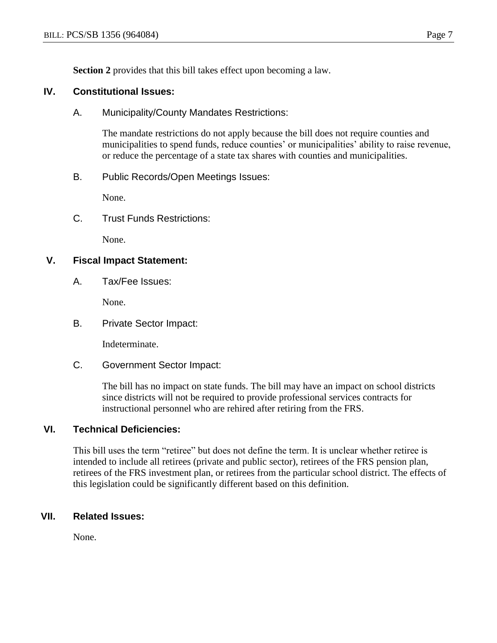**Section 2** provides that this bill takes effect upon becoming a law.

## **IV. Constitutional Issues:**

A. Municipality/County Mandates Restrictions:

The mandate restrictions do not apply because the bill does not require counties and municipalities to spend funds, reduce counties' or municipalities' ability to raise revenue, or reduce the percentage of a state tax shares with counties and municipalities.

B. Public Records/Open Meetings Issues:

None.

C. Trust Funds Restrictions:

None.

## **V. Fiscal Impact Statement:**

A. Tax/Fee Issues:

None.

B. Private Sector Impact:

Indeterminate.

C. Government Sector Impact:

The bill has no impact on state funds. The bill may have an impact on school districts since districts will not be required to provide professional services contracts for instructional personnel who are rehired after retiring from the FRS.

## **VI. Technical Deficiencies:**

This bill uses the term "retiree" but does not define the term. It is unclear whether retiree is intended to include all retirees (private and public sector), retirees of the FRS pension plan, retirees of the FRS investment plan, or retirees from the particular school district. The effects of this legislation could be significantly different based on this definition.

# **VII. Related Issues:**

None.